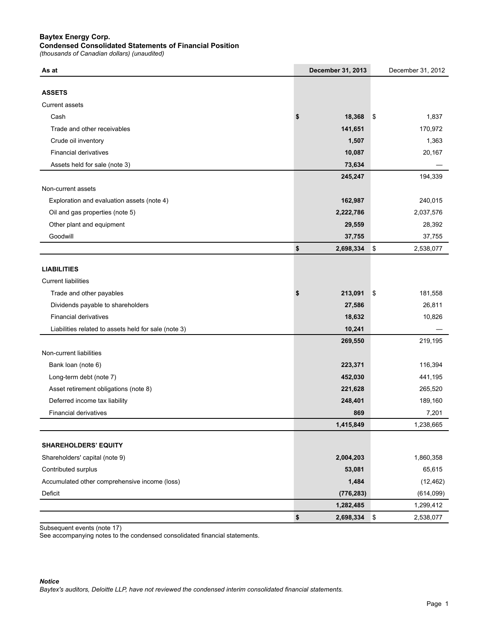### **Baytex Energy Corp.**

### **Condensed Consolidated Statements of Financial Position**

*(thousands of Canadian dollars) (unaudited)*

| As at                                                | December 31, 2013 | December 31, 2012 |
|------------------------------------------------------|-------------------|-------------------|
|                                                      |                   |                   |
| <b>ASSETS</b>                                        |                   |                   |
| <b>Current assets</b>                                |                   |                   |
| Cash                                                 | 18,368<br>\$      | \$<br>1,837       |
| Trade and other receivables                          | 141,651           | 170,972           |
| Crude oil inventory                                  | 1,507             | 1,363             |
| <b>Financial derivatives</b>                         | 10,087            | 20,167            |
| Assets held for sale (note 3)                        | 73,634            |                   |
|                                                      | 245,247           | 194,339           |
| Non-current assets                                   |                   |                   |
| Exploration and evaluation assets (note 4)           | 162,987           | 240,015           |
| Oil and gas properties (note 5)                      | 2,222,786         | 2,037,576         |
| Other plant and equipment                            | 29,559            | 28,392            |
| Goodwill                                             | 37,755            | 37,755            |
|                                                      | \$<br>2,698,334   | \$<br>2,538,077   |
|                                                      |                   |                   |
| <b>LIABILITIES</b>                                   |                   |                   |
| <b>Current liabilities</b>                           |                   |                   |
| Trade and other payables                             | \$<br>213,091     | \$<br>181,558     |
| Dividends payable to shareholders                    | 27,586            | 26,811            |
| <b>Financial derivatives</b>                         | 18,632            | 10,826            |
| Liabilities related to assets held for sale (note 3) | 10,241            |                   |
|                                                      | 269,550           | 219,195           |
| Non-current liabilities                              |                   |                   |
| Bank loan (note 6)                                   | 223,371           | 116,394           |
| Long-term debt (note 7)                              | 452,030           | 441,195           |
| Asset retirement obligations (note 8)                | 221,628           | 265,520           |
| Deferred income tax liability                        | 248,401           | 189,160           |
| <b>Financial derivatives</b>                         | 869               | 7,201             |
|                                                      | 1,415,849         | 1,238,665         |
|                                                      |                   |                   |
| <b>SHAREHOLDERS' EQUITY</b>                          |                   |                   |
| Shareholders' capital (note 9)                       | 2,004,203         | 1,860,358         |
| Contributed surplus                                  | 53,081            | 65,615            |
| Accumulated other comprehensive income (loss)        | 1,484             | (12, 462)         |
| Deficit                                              | (776, 283)        | (614, 099)        |
|                                                      | 1,282,485         | 1,299,412         |
|                                                      | \$<br>2,698,334   | \$<br>2,538,077   |

Subsequent events (note 17)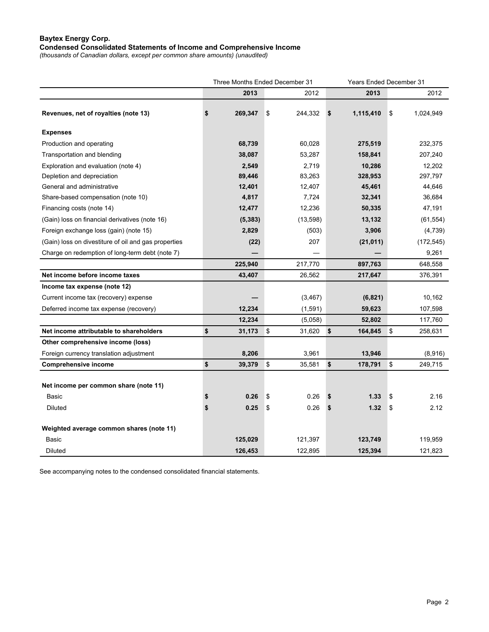# **Baytex Energy Corp. Condensed Consolidated Statements of Income and Comprehensive Income**

*(thousands of Canadian dollars, except per common share amounts) (unaudited)* 

|                                                      |               | Three Months Ended December 31<br>Years Ended December 31 |    |           |    |            |
|------------------------------------------------------|---------------|-----------------------------------------------------------|----|-----------|----|------------|
|                                                      | 2013          | 2012                                                      |    | 2013      |    | 2012       |
| Revenues, net of royalties (note 13)                 | \$<br>269,347 | 244,332<br>\$                                             | \$ | 1,115,410 | \$ | 1,024,949  |
| <b>Expenses</b>                                      |               |                                                           |    |           |    |            |
| Production and operating                             | 68,739        | 60,028                                                    |    | 275,519   |    | 232,375    |
| Transportation and blending                          | 38,087        | 53,287                                                    |    | 158,841   |    | 207,240    |
| Exploration and evaluation (note 4)                  | 2,549         | 2,719                                                     |    | 10,286    |    | 12,202     |
| Depletion and depreciation                           | 89,446        | 83,263                                                    |    | 328,953   |    | 297,797    |
| General and administrative                           | 12,401        | 12,407                                                    |    | 45,461    |    | 44,646     |
| Share-based compensation (note 10)                   | 4,817         | 7,724                                                     |    | 32,341    |    | 36,684     |
| Financing costs (note 14)                            | 12,477        | 12,236                                                    |    | 50,335    |    | 47,191     |
| (Gain) loss on financial derivatives (note 16)       | (5, 383)      | (13,598)                                                  |    | 13,132    |    | (61, 554)  |
| Foreign exchange loss (gain) (note 15)               | 2,829         | (503)                                                     |    | 3,906     |    | (4, 739)   |
| (Gain) loss on divestiture of oil and gas properties | (22)          | 207                                                       |    | (21, 011) |    | (172, 545) |
| Charge on redemption of long-term debt (note 7)      |               |                                                           |    |           |    | 9,261      |
|                                                      | 225,940       | 217,770                                                   |    | 897,763   |    | 648,558    |
| Net income before income taxes                       | 43,407        | 26,562                                                    |    | 217,647   |    | 376,391    |
| Income tax expense (note 12)                         |               |                                                           |    |           |    |            |
| Current income tax (recovery) expense                |               | (3, 467)                                                  |    | (6, 821)  |    | 10,162     |
| Deferred income tax expense (recovery)               | 12,234        | (1,591)                                                   |    | 59,623    |    | 107,598    |
|                                                      | 12,234        | (5,058)                                                   |    | 52,802    |    | 117,760    |
| Net income attributable to shareholders              | \$<br>31,173  | \$<br>31,620                                              | \$ | 164,845   | \$ | 258,631    |
| Other comprehensive income (loss)                    |               |                                                           |    |           |    |            |
| Foreign currency translation adjustment              | 8,206         | 3,961                                                     |    | 13,946    |    | (8,916)    |
| <b>Comprehensive income</b>                          | \$<br>39,379  | \$<br>35,581                                              | \$ | 178,791   | \$ | 249,715    |
| Net income per common share (note 11)                |               |                                                           |    |           |    |            |
| Basic                                                | \$<br>0.26    | \$<br>0.26                                                | \$ | 1.33      | \$ | 2.16       |
| Diluted                                              | \$<br>0.25    | 0.26<br>\$                                                | \$ | 1.32      | \$ | 2.12       |
| Weighted average common shares (note 11)             |               |                                                           |    |           |    |            |
| <b>Basic</b>                                         | 125,029       | 121,397                                                   |    | 123,749   |    | 119,959    |
| <b>Diluted</b>                                       | 126.453       | 122,895                                                   |    | 125,394   |    | 121,823    |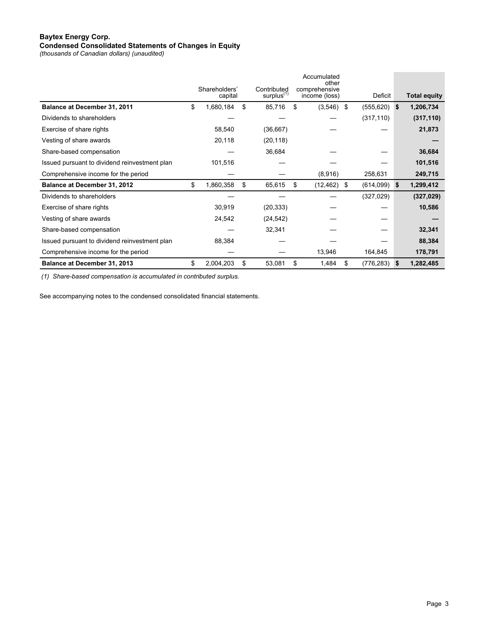#### **Baytex Energy Corp. Condensed Consolidated Statements of Changes in Equity**

*(thousands of Canadian dollars) (unaudited)*

|                                               |                          |                                | Accumulated<br>other           |                  |          |                     |
|-----------------------------------------------|--------------------------|--------------------------------|--------------------------------|------------------|----------|---------------------|
|                                               | Shareholders'<br>capital | Contributed<br>$surplus^{(1)}$ | comprehensive<br>income (loss) | Deficit          |          | <b>Total equity</b> |
| Balance at December 31, 2011                  | \$<br>1,680,184          | \$<br>85,716                   | \$<br>$(3,546)$ \$             | $(555, 620)$ \$  |          | 1,206,734           |
| Dividends to shareholders                     |                          |                                |                                | (317, 110)       |          | (317, 110)          |
| Exercise of share rights                      | 58,540                   | (36,667)                       |                                |                  |          | 21,873              |
| Vesting of share awards                       | 20,118                   | (20, 118)                      |                                |                  |          |                     |
| Share-based compensation                      |                          | 36,684                         |                                |                  |          | 36,684              |
| Issued pursuant to dividend reinvestment plan | 101,516                  |                                |                                |                  |          | 101,516             |
| Comprehensive income for the period           |                          |                                | (8,916)                        | 258,631          |          | 249,715             |
| <b>Balance at December 31, 2012</b>           | \$<br>1,860,358          | \$<br>65,615                   | \$<br>(12, 462)                | \$<br>(614,099)  | <b>S</b> | 1,299,412           |
| Dividends to shareholders                     |                          |                                |                                | (327, 029)       |          | (327, 029)          |
| Exercise of share rights                      | 30,919                   | (20, 333)                      |                                |                  |          | 10,586              |
| Vesting of share awards                       | 24,542                   | (24, 542)                      |                                |                  |          |                     |
| Share-based compensation                      |                          | 32,341                         |                                |                  |          | 32,341              |
| Issued pursuant to dividend reinvestment plan | 88,384                   |                                |                                |                  |          | 88,384              |
| Comprehensive income for the period           |                          |                                | 13,946                         | 164,845          |          | 178,791             |
| Balance at December 31, 2013                  | \$<br>2,004,203          | \$<br>53,081                   | \$<br>1,484                    | \$<br>(776, 283) | <b>S</b> | 1,282,485           |

 *(1) Share-based compensation is accumulated in contributed surplus.*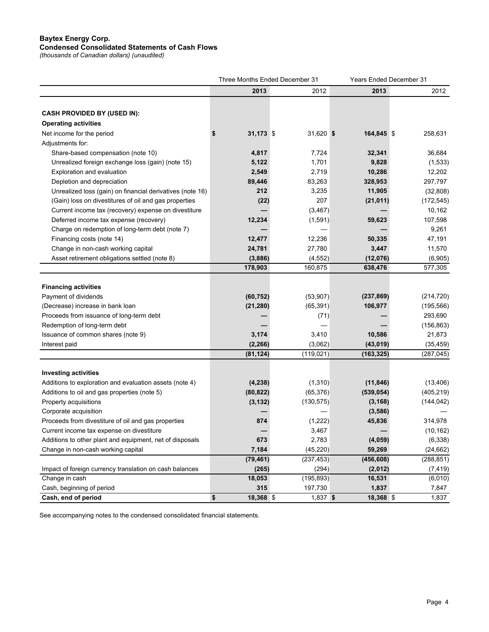#### **Baytex Energy Corp. Condensed Consolidated Statements of Cash Flows**

*(thousands of Canadian dollars) (unaudited)*

|                                                           |                 | Three Months Ended December 31 |            | <b>Years Ended December 31</b> |            |
|-----------------------------------------------------------|-----------------|--------------------------------|------------|--------------------------------|------------|
|                                                           | 2013            |                                | 2012       | 2013                           | 2012       |
|                                                           |                 |                                |            |                                |            |
| <b>CASH PROVIDED BY (USED IN):</b>                        |                 |                                |            |                                |            |
| <b>Operating activities</b>                               |                 |                                |            |                                |            |
| Net income for the period                                 | 31,173 \$       |                                | 31,620 \$  | 164,845 \$                     | 258,631    |
| Adjustments for:                                          |                 |                                |            |                                |            |
| Share-based compensation (note 10)                        | 4,817           |                                | 7,724      | 32,341                         | 36,684     |
| Unrealized foreign exchange loss (gain) (note 15)         | 5,122           |                                | 1,701      | 9,828                          | (1,533)    |
| Exploration and evaluation                                | 2,549           |                                | 2,719      | 10,286                         | 12,202     |
| Depletion and depreciation                                | 89,446          |                                | 83,263     | 328,953                        | 297,797    |
| Unrealized loss (gain) on financial derivatives (note 16) | 212             |                                | 3,235      | 11,905                         | (32, 808)  |
| (Gain) loss on divestitures of oil and gas properties     | (22)            |                                | 207        | (21, 011)                      | (172, 545) |
| Current income tax (recovery) expense on divestiture      |                 |                                | (3, 467)   |                                | 10,162     |
| Deferred income tax expense (recovery)                    | 12,234          |                                | (1,591)    | 59,623                         | 107,598    |
| Charge on redemption of long-term debt (note 7)           |                 |                                |            |                                | 9,261      |
| Financing costs (note 14)                                 | 12,477          |                                | 12,236     | 50,335                         | 47,191     |
| Change in non-cash working capital                        | 24,781          |                                | 27,780     | 3,447                          | 11,570     |
| Asset retirement obligations settled (note 8)             | (3,886)         |                                | (4, 552)   | (12,076)                       | (6,905)    |
|                                                           | 178,903         | 160,875                        |            | 638,476                        | 577,305    |
|                                                           |                 |                                |            |                                |            |
| <b>Financing activities</b>                               |                 |                                |            |                                |            |
| Payment of dividends                                      | (60, 752)       |                                | (53, 907)  | (237, 869)                     | (214, 720) |
| (Decrease) increase in bank loan                          | (21, 280)       |                                | (65, 391)  | 106,977                        | (195, 566) |
| Proceeds from issuance of long-term debt                  |                 |                                | (71)       |                                | 293,690    |
| Redemption of long-term debt                              |                 |                                |            |                                | (156, 863) |
| Issuance of common shares (note 9)                        | 3,174           |                                | 3,410      | 10,586                         | 21,873     |
| Interest paid                                             | (2, 266)        |                                | (3,062)    | (43, 019)                      | (35, 459)  |
|                                                           | (81, 124)       | (119, 021)                     |            | (163, 325)                     | (287, 045) |
| <b>Investing activities</b>                               |                 |                                |            |                                |            |
| Additions to exploration and evaluation assets (note 4)   | (4, 238)        |                                | (1, 310)   | (11, 846)                      | (13, 406)  |
| Additions to oil and gas properties (note 5)              | (80, 822)       |                                | (65, 376)  | (539, 054)                     | (405, 219) |
| Property acquisitions                                     | (3, 132)        | (130, 575)                     |            | (3, 168)                       | (144, 042) |
| Corporate acquisition                                     |                 |                                |            | (3,586)                        |            |
| Proceeds from divestiture of oil and gas properties       | 874             |                                | (1,222)    | 45,836                         | 314,978    |
| Current income tax expense on divestiture                 |                 |                                | 3,467      |                                | (10, 162)  |
| Additions to other plant and equipment, net of disposals  | 673             |                                | 2,783      | (4, 059)                       | (6, 338)   |
| Change in non-cash working capital                        | 7,184           |                                | (45, 220)  | 59,269                         | (24, 662)  |
|                                                           | (79, 461)       | (237, 453)                     |            | (456, 608)                     | (288, 851) |
| Impact of foreign currency translation on cash balances   | (265)           |                                | (294)      | (2,012)                        | (7, 419)   |
| Change in cash                                            | 18,053          | (195, 893)                     |            | 16,531                         | (6,010)    |
| Cash, beginning of period                                 | 315             | 197,730                        |            | 1,837                          | 7,847      |
| Cash, end of period                                       | \$<br>18,368 \$ |                                | $1,837$ \$ | 18,368 \$                      | 1,837      |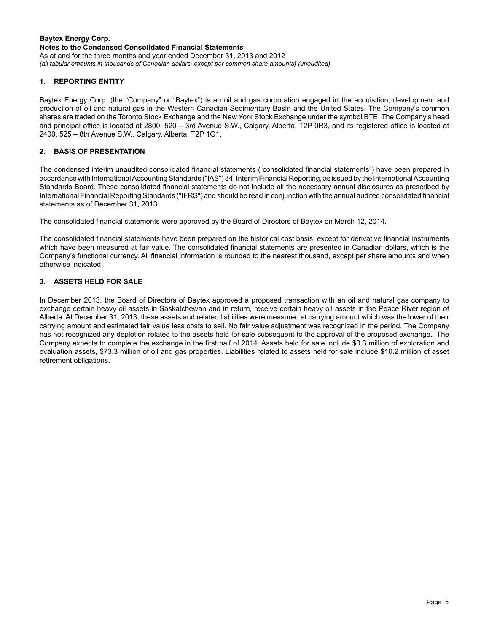#### **Baytex Energy Corp. Notes to the Condensed Consolidated Financial Statements** As at and for the three months and year ended December 31, 2013 and 2012

*(all tabular amounts in thousands of Canadian dollars, except per common share amounts) (unaudited)*

# **1. REPORTING ENTITY**

Baytex Energy Corp. (the "Company" or "Baytex") is an oil and gas corporation engaged in the acquisition, development and production of oil and natural gas in the Western Canadian Sedimentary Basin and the United States. The Company's common shares are traded on the Toronto Stock Exchange and the New York Stock Exchange under the symbol BTE. The Company's head and principal office is located at 2800, 520 – 3rd Avenue S.W., Calgary, Alberta, T2P 0R3, and its registered office is located at 2400, 525 – 8th Avenue S.W., Calgary, Alberta, T2P 1G1.

## **2. BASIS OF PRESENTATION**

The condensed interim unaudited consolidated financial statements ("consolidated financial statements") have been prepared in accordance with International Accounting Standards ("IAS") 34, Interim Financial Reporting, as issued by the International Accounting Standards Board. These consolidated financial statements do not include all the necessary annual disclosures as prescribed by International Financial Reporting Standards ("IFRS") and should be read in conjunction with the annual audited consolidated financial statements as of December 31, 2013.

The consolidated financial statements were approved by the Board of Directors of Baytex on March 12, 2014.

The consolidated financial statements have been prepared on the historical cost basis, except for derivative financial instruments which have been measured at fair value. The consolidated financial statements are presented in Canadian dollars, which is the Company's functional currency. All financial information is rounded to the nearest thousand, except per share amounts and when otherwise indicated.

# **3. ASSETS HELD FOR SALE**

In December 2013, the Board of Directors of Baytex approved a proposed transaction with an oil and natural gas company to exchange certain heavy oil assets in Saskatchewan and in return, receive certain heavy oil assets in the Peace River region of Alberta. At December 31, 2013, these assets and related liabilities were measured at carrying amount which was the lower of their carrying amount and estimated fair value less costs to sell. No fair value adjustment was recognized in the period. The Company has not recognized any depletion related to the assets held for sale subsequent to the approval of the proposed exchange. The Company expects to complete the exchange in the first half of 2014. Assets held for sale include \$0.3 million of exploration and evaluation assets, \$73.3 million of oil and gas properties. Liabilities related to assets held for sale include \$10.2 million of asset retirement obligations.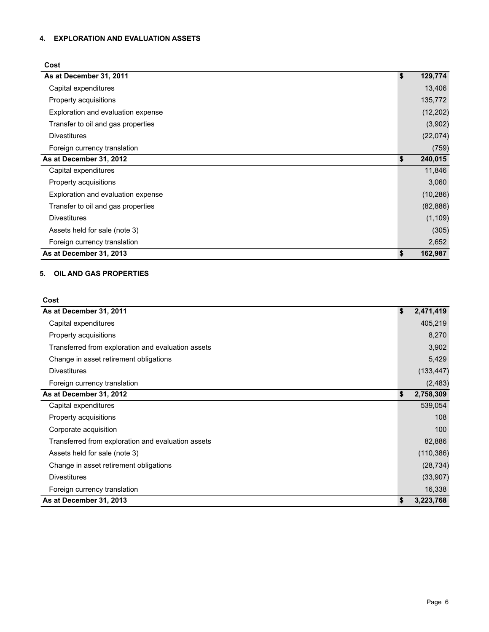# **4. EXPLORATION AND EVALUATION ASSETS**

## **Cost**

| As at December 31, 2011            | \$<br>129,774 |
|------------------------------------|---------------|
| Capital expenditures               | 13,406        |
| Property acquisitions              | 135,772       |
| Exploration and evaluation expense | (12, 202)     |
| Transfer to oil and gas properties | (3,902)       |
| <b>Divestitures</b>                | (22,074)      |
| Foreign currency translation       | (759)         |
| As at December 31, 2012            | \$<br>240,015 |
| Capital expenditures               | 11,846        |
| Property acquisitions              | 3,060         |
| Exploration and evaluation expense | (10, 286)     |
| Transfer to oil and gas properties | (82, 886)     |
| <b>Divestitures</b>                | (1, 109)      |
| Assets held for sale (note 3)      | (305)         |
| Foreign currency translation       | 2,652         |
| As at December 31, 2013            | \$<br>162,987 |

# **5. OIL AND GAS PROPERTIES**

| Cost                                               |                 |
|----------------------------------------------------|-----------------|
| As at December 31, 2011                            | \$<br>2,471,419 |
| Capital expenditures                               | 405,219         |
| Property acquisitions                              | 8,270           |
| Transferred from exploration and evaluation assets | 3,902           |
| Change in asset retirement obligations             | 5,429           |
| <b>Divestitures</b>                                | (133, 447)      |
| Foreign currency translation                       | (2, 483)        |
| As at December 31, 2012                            | \$<br>2,758,309 |
| Capital expenditures                               | 539,054         |
| Property acquisitions                              | 108             |
| Corporate acquisition                              | 100             |
| Transferred from exploration and evaluation assets | 82,886          |
| Assets held for sale (note 3)                      | (110, 386)      |
| Change in asset retirement obligations             | (28, 734)       |
| <b>Divestitures</b>                                | (33,907)        |
| Foreign currency translation                       | 16,338          |
| As at December 31, 2013                            | \$<br>3,223,768 |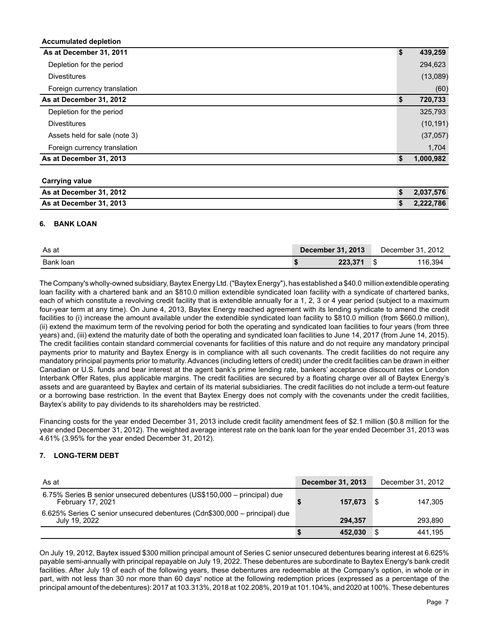| Accumulated depletion         |               |
|-------------------------------|---------------|
| As at December 31, 2011       | \$<br>439,259 |
| Depletion for the period      | 294,623       |
| <b>Divestitures</b>           | (13,089)      |
| Foreign currency translation  | (60)          |
| As at December 31, 2012       | 720,733       |
| Depletion for the period      | 325,793       |
| <b>Divestitures</b>           | (10, 191)     |
| Assets held for sale (note 3) | (37,057)      |
| Foreign currency translation  | 1,704         |
| As at December 31, 2013       | 1,000,982     |

| <b>Carrying value</b>   |           |
|-------------------------|-----------|
| As at December 31, 2012 | 2.037.576 |
| As at December 31, 2013 | 2,222,786 |

### **6. BANK LOAN**

**Accumulated depletion**

| As at     | <b>December 31, 2013</b> | December 31, 2012 |
|-----------|--------------------------|-------------------|
| Bank loan | 223,371                  | 16,394            |

The Company's wholly-owned subsidiary, Baytex Energy Ltd. ("Baytex Energy"), has established a \$40.0 million extendible operating loan facility with a chartered bank and an \$810.0 million extendible syndicated loan facility with a syndicate of chartered banks, each of which constitute a revolving credit facility that is extendible annually for a 1, 2, 3 or 4 year period (subject to a maximum four-year term at any time). On June 4, 2013, Baytex Energy reached agreement with its lending syndicate to amend the credit facilities to (i) increase the amount available under the extendible syndicated loan facility to \$810.0 million (from \$660.0 million), (ii) extend the maximum term of the revolving period for both the operating and syndicated loan facilities to four years (from three years) and, (iii) extend the maturity date of both the operating and syndicated loan facilities to June 14, 2017 (from June 14, 2015). The credit facilities contain standard commercial covenants for facilities of this nature and do not require any mandatory principal payments prior to maturity and Baytex Energy is in compliance with all such covenants. The credit facilities do not require any mandatory principal payments prior to maturity. Advances (including letters of credit) under the credit facilities can be drawn in either Canadian or U.S. funds and bear interest at the agent bank's prime lending rate, bankers' acceptance discount rates or London Interbank Offer Rates, plus applicable margins. The credit facilities are secured by a floating charge over all of Baytex Energy's assets and are guaranteed by Baytex and certain of its material subsidiaries. The credit facilities do not include a term-out feature or a borrowing base restriction. In the event that Baytex Energy does not comply with the covenants under the credit facilities, Baytex's ability to pay dividends to its shareholders may be restricted.

Financing costs for the year ended December 31, 2013 include credit facility amendment fees of \$2.1 million (\$0.8 million for the year ended December 31, 2012). The weighted average interest rate on the bank loan for the year ended December 31, 2013 was 4.61% (3.95% for the year ended December 31, 2012).

## **7. LONG-TERM DEBT**

| As at                                                                                         | <b>December 31, 2013</b> | December 31, 2012 |
|-----------------------------------------------------------------------------------------------|--------------------------|-------------------|
| 6.75% Series B senior unsecured debentures (US\$150,000 – principal) due<br>February 17, 2021 | 157.673                  | 147.305           |
| 6.625% Series C senior unsecured debentures (Cdn\$300,000 - principal) due<br>July 19, 2022   | 294.357                  | 293.890           |
|                                                                                               | 452.030                  | 441.195           |

On July 19, 2012, Baytex issued \$300 million principal amount of Series C senior unsecured debentures bearing interest at 6.625% payable semi-annually with principal repayable on July 19, 2022. These debentures are subordinate to Baytex Energy's bank credit facilities. After July 19 of each of the following years, these debentures are redeemable at the Company's option, in whole or in part, with not less than 30 nor more than 60 days' notice at the following redemption prices (expressed as a percentage of the principal amount of the debentures): 2017 at 103.313%, 2018 at 102.208%, 2019 at 101.104%, and 2020 at 100%. These debentures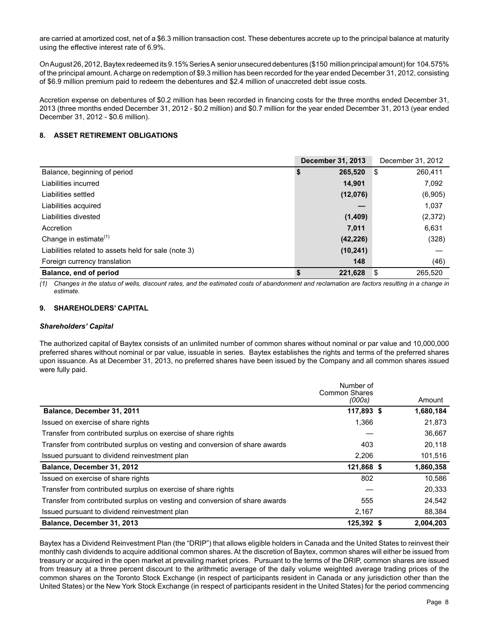are carried at amortized cost, net of a \$6.3 million transaction cost. These debentures accrete up to the principal balance at maturity using the effective interest rate of 6.9%.

On August 26, 2012, Baytex redeemed its 9.15% Series A senior unsecured debentures (\$150 million principal amount) for 104.575% of the principal amount. Acharge on redemption of \$9.3 million has been recorded for the year ended December 31, 2012, consisting of \$6.9 million premium paid to redeem the debentures and \$2.4 million of unaccreted debt issue costs.

Accretion expense on debentures of \$0.2 million has been recorded in financing costs for the three months ended December 31, 2013 (three months ended December 31, 2012 - \$0.2 million) and \$0.7 million for the year ended December 31, 2013 (year ended December 31, 2012 - \$0.6 million).

#### **8. ASSET RETIREMENT OBLIGATIONS**

|                                                      | <b>December 31, 2013</b> | December 31, 2012 |
|------------------------------------------------------|--------------------------|-------------------|
| Balance, beginning of period                         | 265,520                  | 260.411<br>\$     |
| Liabilities incurred                                 | 14.901                   | 7,092             |
| Liabilities settled                                  | (12,076)                 | (6,905)           |
| Liabilities acquired                                 |                          | 1,037             |
| Liabilities divested                                 | (1,409)                  | (2,372)           |
| Accretion                                            | 7,011                    | 6,631             |
| Change in estimate <sup>(1)</sup>                    | (42, 226)                | (328)             |
| Liabilities related to assets held for sale (note 3) | (10, 241)                |                   |
| Foreign currency translation                         | 148                      | (46)              |
| Balance, end of period                               | 221,628                  | -\$<br>265.520    |

*(1) Changes in the status of wells, discount rates, and the estimated costs of abandonment and reclamation are factors resulting in a change in estimate.*

#### **9. SHAREHOLDERS' CAPITAL**

#### *Shareholders' Capital*

The authorized capital of Baytex consists of an unlimited number of common shares without nominal or par value and 10,000,000 preferred shares without nominal or par value, issuable in series. Baytex establishes the rights and terms of the preferred shares upon issuance. As at December 31, 2013, no preferred shares have been issued by the Company and all common shares issued were fully paid.

|                                                                             | Number of<br><b>Common Shares</b> |           |
|-----------------------------------------------------------------------------|-----------------------------------|-----------|
|                                                                             | (000s)                            | Amount    |
| Balance, December 31, 2011                                                  | 117,893 \$                        | 1,680,184 |
| Issued on exercise of share rights                                          | 1.366                             | 21.873    |
| Transfer from contributed surplus on exercise of share rights               |                                   | 36,667    |
| Transfer from contributed surplus on vesting and conversion of share awards | 403                               | 20,118    |
| Issued pursuant to dividend reinvestment plan                               | 2.206                             | 101,516   |
| Balance, December 31, 2012                                                  | 121,868 \$                        | 1,860,358 |
| Issued on exercise of share rights                                          | 802                               | 10,586    |
| Transfer from contributed surplus on exercise of share rights               |                                   | 20,333    |
| Transfer from contributed surplus on vesting and conversion of share awards | 555                               | 24,542    |
| Issued pursuant to dividend reinvestment plan                               | 2,167                             | 88,384    |
| Balance, December 31, 2013                                                  | 125,392 \$                        | 2,004,203 |

Baytex has a Dividend Reinvestment Plan (the "DRIP") that allows eligible holders in Canada and the United States to reinvest their monthly cash dividends to acquire additional common shares. At the discretion of Baytex, common shares will either be issued from treasury or acquired in the open market at prevailing market prices. Pursuant to the terms of the DRIP, common shares are issued from treasury at a three percent discount to the arithmetic average of the daily volume weighted average trading prices of the common shares on the Toronto Stock Exchange (in respect of participants resident in Canada or any jurisdiction other than the United States) or the New York Stock Exchange (in respect of participants resident in the United States) for the period commencing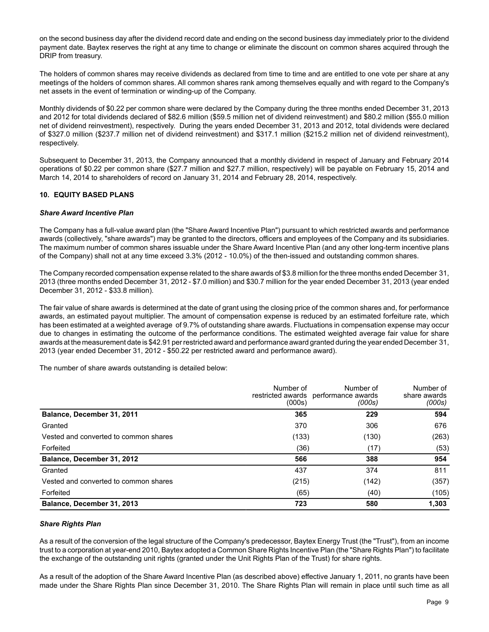on the second business day after the dividend record date and ending on the second business day immediately prior to the dividend payment date. Baytex reserves the right at any time to change or eliminate the discount on common shares acquired through the DRIP from treasury.

The holders of common shares may receive dividends as declared from time to time and are entitled to one vote per share at any meetings of the holders of common shares. All common shares rank among themselves equally and with regard to the Company's net assets in the event of termination or winding-up of the Company.

Monthly dividends of \$0.22 per common share were declared by the Company during the three months ended December 31, 2013 and 2012 for total dividends declared of \$82.6 million (\$59.5 million net of dividend reinvestment) and \$80.2 million (\$55.0 million net of dividend reinvestment), respectively. During the years ended December 31, 2013 and 2012, total dividends were declared of \$327.0 million (\$237.7 million net of dividend reinvestment) and \$317.1 million (\$215.2 million net of dividend reinvestment), respectively.

Subsequent to December 31, 2013, the Company announced that a monthly dividend in respect of January and February 2014 operations of \$0.22 per common share (\$27.7 million and \$27.7 million, respectively) will be payable on February 15, 2014 and March 14, 2014 to shareholders of record on January 31, 2014 and February 28, 2014, respectively.

## **10. EQUITY BASED PLANS**

## *Share Award Incentive Plan*

The Company has a full-value award plan (the "Share Award Incentive Plan") pursuant to which restricted awards and performance awards (collectively, "share awards") may be granted to the directors, officers and employees of the Company and its subsidiaries. The maximum number of common shares issuable under the Share Award Incentive Plan (and any other long-term incentive plans of the Company) shall not at any time exceed 3.3% (2012 - 10.0%) of the then-issued and outstanding common shares.

The Company recorded compensation expense related to the share awards of \$3.8 million for the three months ended December 31, 2013 (three months ended December 31, 2012 - \$7.0 million) and \$30.7 million for the year ended December 31, 2013 (year ended December 31, 2012 - \$33.8 million).

The fair value of share awards is determined at the date of grant using the closing price of the common shares and, for performance awards, an estimated payout multiplier. The amount of compensation expense is reduced by an estimated forfeiture rate, which has been estimated at a weighted average of 9.7% of outstanding share awards. Fluctuations in compensation expense may occur due to changes in estimating the outcome of the performance conditions. The estimated weighted average fair value for share awards at the measurement date is \$42.91 per restricted award and performance award granted during the year ended December 31, 2013 (year ended December 31, 2012 - \$50.22 per restricted award and performance award).

The number of share awards outstanding is detailed below:

|                                       | Number of<br>(000s) | Number of<br>restricted awards performance awards<br>(000s) | Number of<br>share awards<br>(000s) |
|---------------------------------------|---------------------|-------------------------------------------------------------|-------------------------------------|
| Balance, December 31, 2011            | 365                 | 229                                                         | 594                                 |
| Granted                               | 370                 | 306                                                         | 676                                 |
| Vested and converted to common shares | (133)               | (130)                                                       | (263)                               |
| Forfeited                             | (36)                | (17)                                                        | (53)                                |
| Balance, December 31, 2012            | 566                 | 388                                                         | 954                                 |
| Granted                               | 437                 | 374                                                         | 811                                 |
| Vested and converted to common shares | (215)               | (142)                                                       | (357)                               |
| Forfeited                             | (65)                | (40)                                                        | (105)                               |
| Balance, December 31, 2013            | 723                 | 580                                                         | 1,303                               |

## *Share Rights Plan*

As a result of the conversion of the legal structure of the Company's predecessor, Baytex Energy Trust (the "Trust"), from an income trust to a corporation at year-end 2010, Baytex adopted a Common Share Rights Incentive Plan (the "Share Rights Plan") to facilitate the exchange of the outstanding unit rights (granted under the Unit Rights Plan of the Trust) for share rights.

As a result of the adoption of the Share Award Incentive Plan (as described above) effective January 1, 2011, no grants have been made under the Share Rights Plan since December 31, 2010. The Share Rights Plan will remain in place until such time as all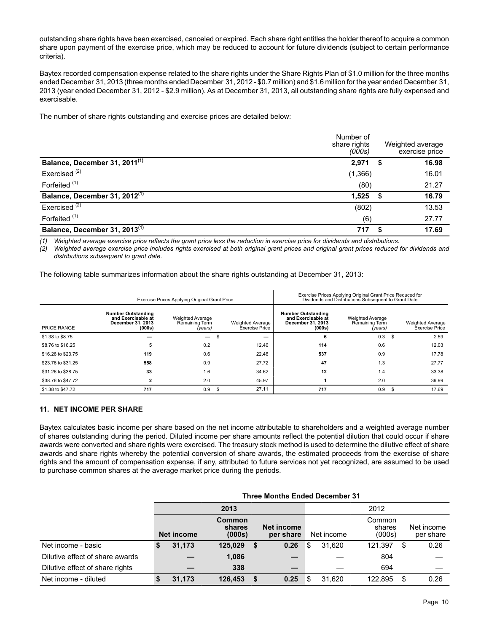outstanding share rights have been exercised, canceled or expired. Each share right entitles the holder thereof to acquire a common share upon payment of the exercise price, which may be reduced to account for future dividends (subject to certain performance criteria).

Baytex recorded compensation expense related to the share rights under the Share Rights Plan of \$1.0 million for the three months ended December 31, 2013 (three months ended December 31, 2012 - \$0.7 million) and \$1.6 million for the year ended December 31, 2013 (year ended December 31, 2012 - \$2.9 million). As at December 31, 2013, all outstanding share rights are fully expensed and exercisable.

The number of share rights outstanding and exercise prices are detailed below:

|                                           | Number of<br>share rights<br>(000s) |      | Weighted average<br>exercise price |
|-------------------------------------------|-------------------------------------|------|------------------------------------|
| Balance, December 31, 2011 <sup>(1)</sup> | 2,971                               | - 56 | 16.98                              |
| Exercised <sup>(2)</sup>                  | (1,366)                             |      | 16.01                              |
| Forfeited <sup>(1)</sup>                  | (80)                                |      | 21.27                              |
| Balance, December 31, 2012 <sup>(1)</sup> | $1,525$ \$                          |      | 16.79                              |
| Exercised $(2)$                           | (802)                               |      | 13.53                              |
| Forfeited <sup>(1)</sup>                  | (6)                                 |      | 27.77                              |
| Balance, December 31, 2013 <sup>(1)</sup> | 717                                 |      | 17.69                              |

*(1) Weighted average exercise price reflects the grant price less the reduction in exercise price for dividends and distributions.*

*(2) Weighted average exercise price includes rights exercised at both original grant prices and original grant prices reduced for dividends and distributions subsequent to grant date.*

The following table summarizes information about the share rights outstanding at December 31, 2013:

|                    | Exercise Prices Applying Original Grant Price                                  |                                                      | Exercise Prices Applying Original Grant Price Reduced for<br>Dividends and Distributions Subsequent to Grant Date |                                           |                                                                                |                                                      |      |                                                  |
|--------------------|--------------------------------------------------------------------------------|------------------------------------------------------|-------------------------------------------------------------------------------------------------------------------|-------------------------------------------|--------------------------------------------------------------------------------|------------------------------------------------------|------|--------------------------------------------------|
| PRICE RANGE        | <b>Number Outstanding</b><br>and Exercisable at<br>December 31, 2013<br>(000s) | <b>Weighted Average</b><br>Remaining Term<br>(years) |                                                                                                                   | Weighted Average<br><b>Exercise Price</b> | <b>Number Outstanding</b><br>and Exercisable at<br>December 31, 2013<br>(000s) | <b>Weighted Average</b><br>Remaining Term<br>(years) |      | <b>Weighted Average</b><br><b>Exercise Price</b> |
| \$1.38 to \$8.75   |                                                                                |                                                      | - 35                                                                                                              | --                                        | 6                                                                              | 0.3                                                  | - \$ | 2.59                                             |
| \$8.76 to \$16.25  | 5                                                                              | 0.2                                                  |                                                                                                                   | 12.46                                     | 114                                                                            | 0.6                                                  |      | 12.03                                            |
| \$16,26 to \$23,75 | 119                                                                            | 0.6                                                  |                                                                                                                   | 22.46                                     | 537                                                                            | 0.9                                                  |      | 17.78                                            |
| \$23.76 to \$31.25 | 558                                                                            | 0.9                                                  |                                                                                                                   | 27.72                                     | 47                                                                             | 1.3                                                  |      | 27.77                                            |
| \$31.26 to \$38.75 | 33                                                                             | 1.6                                                  |                                                                                                                   | 34.62                                     | 12                                                                             | 1.4                                                  |      | 33.38                                            |
| \$38.76 to \$47.72 |                                                                                | 2.0                                                  |                                                                                                                   | 45.97                                     |                                                                                | 2.0                                                  |      | 39.99                                            |
| \$1,38 to \$47.72  | 717                                                                            | 0.9                                                  | - \$                                                                                                              | 27.11                                     | 717                                                                            | 0.9                                                  | - \$ | 17.69                                            |

### **11. NET INCOME PER SHARE**

Baytex calculates basic income per share based on the net income attributable to shareholders and a weighted average number of shares outstanding during the period. Diluted income per share amounts reflect the potential dilution that could occur if share awards were converted and share rights were exercised. The treasury stock method is used to determine the dilutive effect of share awards and share rights whereby the potential conversion of share awards, the estimated proceeds from the exercise of share rights and the amount of compensation expense, if any, attributed to future services not yet recognized, are assumed to be used to purchase common shares at the average market price during the periods.

|                                 | <b>Three Months Ended December 31</b> |                                   |   |                                |   |            |  |                            |    |                         |
|---------------------------------|---------------------------------------|-----------------------------------|---|--------------------------------|---|------------|--|----------------------------|----|-------------------------|
|                                 | 2013                                  |                                   |   |                                |   | 2012       |  |                            |    |                         |
|                                 | Net income                            | <b>Common</b><br>shares<br>(000s) |   | <b>Net income</b><br>per share |   | Net income |  | Common<br>shares<br>(000s) |    | Net income<br>per share |
| Net income - basic              | \$<br>31,173                          | 125,029                           | S | 0.26                           | S | 31.620     |  | 121.397                    | S  | 0.26                    |
| Dilutive effect of share awards |                                       | 1,086                             |   |                                |   |            |  | 804                        |    |                         |
| Dilutive effect of share rights |                                       | 338                               |   | –                              |   |            |  | 694                        |    |                         |
| Net income - diluted            | 31,173                                | 126,453                           |   | 0.25                           |   | 31.620     |  | 122.895                    | \$ | 0.26                    |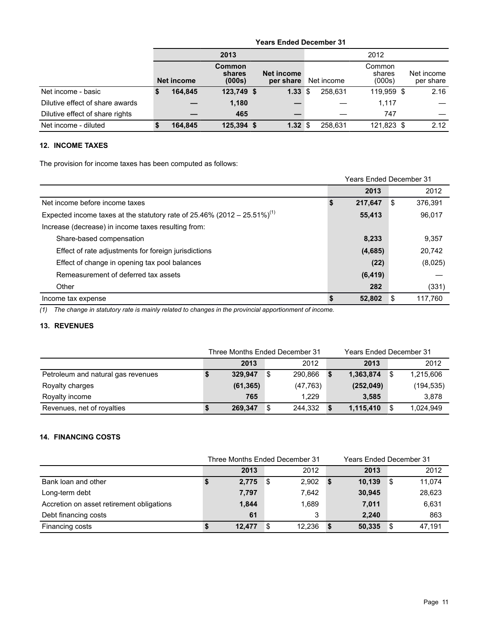|                                 | <b>Years Ended December 31</b> |                            |                         |      |            |                            |  |                         |  |
|---------------------------------|--------------------------------|----------------------------|-------------------------|------|------------|----------------------------|--|-------------------------|--|
|                                 |                                | 2013                       | 2012                    |      |            |                            |  |                         |  |
|                                 | Net income                     | Common<br>shares<br>(000s) | Net income<br>per share |      | Net income | Common<br>shares<br>(000s) |  | Net income<br>per share |  |
| Net income - basic              | 164.845                        | 123,749 \$                 | 1.33                    | ا \$ | 258.631    | 119.959 \$                 |  | 2.16                    |  |
| Dilutive effect of share awards |                                | 1,180                      |                         |      |            | 1,117                      |  |                         |  |
| Dilutive effect of share rights |                                | 465                        |                         |      |            | 747                        |  |                         |  |
| Net income - diluted            | 164.845                        | 125.394 \$                 | 1.32                    | ՝ Տ  | 258.631    | 121.823 \$                 |  | 2.12                    |  |

# **12. INCOME TAXES**

The provision for income taxes has been computed as follows:

|                                                                                      | <b>Years Ended December 31</b> |    |         |
|--------------------------------------------------------------------------------------|--------------------------------|----|---------|
|                                                                                      | 2013                           |    | 2012    |
| Net income before income taxes                                                       | 217,647                        | \$ | 376.391 |
| Expected income taxes at the statutory rate of 25.46% (2012 – 25.51%) <sup>(1)</sup> | 55,413                         |    | 96.017  |
| Increase (decrease) in income taxes resulting from:                                  |                                |    |         |
| Share-based compensation                                                             | 8,233                          |    | 9,357   |
| Effect of rate adjustments for foreign jurisdictions                                 | (4,685)                        |    | 20.742  |
| Effect of change in opening tax pool balances                                        | (22)                           |    | (8,025) |
| Remeasurement of deferred tax assets                                                 | (6, 419)                       |    |         |
| Other                                                                                | 282                            |    | (331)   |
| Income tax expense                                                                   | 52,802                         | -S | 117.760 |

*(1) The change in statutory rate is mainly related to changes in the provincial apportionment of income.*

# **13. REVENUES**

|                                    | Three Months Ended December 31 |           |              |    | Years Ended December 31 |   |            |  |
|------------------------------------|--------------------------------|-----------|--------------|----|-------------------------|---|------------|--|
|                                    |                                | 2013      | 2012         |    | 2013                    |   | 2012       |  |
| Petroleum and natural gas revenues |                                | 329.947   | 290.866<br>S |    | 1,363,874               | S | 1,215,606  |  |
| Royalty charges                    |                                | (61, 365) | (47, 763)    |    | (252, 049)              |   | (194, 535) |  |
| Royalty income                     |                                | 765       | 1.229        |    | 3.585                   |   | 3,878      |  |
| Revenues, net of royalties         | J                              | 269,347   | 244.332<br>S | -S | 1,115,410               | S | 1,024,949  |  |

# **14. FINANCING COSTS**

|                                           |        | Three Months Ended December 31 |      |        | <b>Years Ended December 31</b> |        |
|-------------------------------------------|--------|--------------------------------|------|--------|--------------------------------|--------|
|                                           | 2013   | 2012                           |      | 2013   |                                | 2012   |
| Bank loan and other                       | 2,775  | 2,902<br>8                     | - \$ | 10,139 | - \$                           | 11,074 |
| Long-term debt                            | 7,797  | 7.642                          |      | 30,945 |                                | 28,623 |
| Accretion on asset retirement obligations | 1,844  | 1,689                          |      | 7,011  |                                | 6,631  |
| Debt financing costs                      | 61     | 3                              |      | 2.240  |                                | 863    |
| Financing costs                           | 12,477 | 12,236<br>\$.                  |      | 50,335 | -S                             | 47.191 |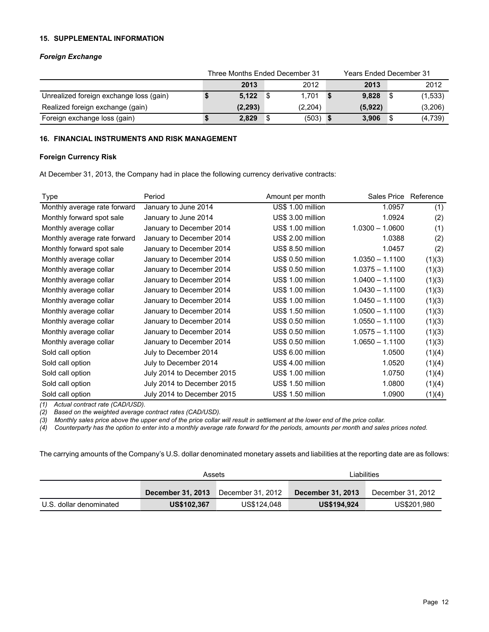#### **15. SUPPLEMENTAL INFORMATION**

## *Foreign Exchange*

|                                         | Three Months Ended December 31 |               |  | <b>Years Ended December 31</b> |  |         |
|-----------------------------------------|--------------------------------|---------------|--|--------------------------------|--|---------|
|                                         | 2013                           | 2012          |  | 2013                           |  | 2012    |
| Unrealized foreign exchange loss (gain) | 5.122                          | 1,701<br>- \$ |  | 9,828                          |  | (1,533) |
| Realized foreign exchange (gain)        | (2, 293)                       | (2,204)       |  | (5,922)                        |  | (3,206) |
| Foreign exchange loss (gain)            | 2,829                          | (503)         |  | 3.906                          |  | (4,739) |

## **16. FINANCIAL INSTRUMENTS AND RISK MANAGEMENT**

#### **Foreign Currency Risk**

At December 31, 2013, the Company had in place the following currency derivative contracts:

| Type                         | Period                     | Amount per month  | Sales Price Reference |        |
|------------------------------|----------------------------|-------------------|-----------------------|--------|
| Monthly average rate forward | January to June 2014       | US\$ 1.00 million | 1.0957                | (1)    |
| Monthly forward spot sale    | January to June 2014       | US\$ 3.00 million | 1.0924                | (2)    |
| Monthly average collar       | January to December 2014   | US\$ 1.00 million | $1.0300 - 1.0600$     | (1)    |
| Monthly average rate forward | January to December 2014   | US\$ 2.00 million | 1.0388                | (2)    |
| Monthly forward spot sale    | January to December 2014   | US\$ 8.50 million | 1.0457                | (2)    |
| Monthly average collar       | January to December 2014   | US\$ 0.50 million | $1.0350 - 1.1100$     | (1)(3) |
| Monthly average collar       | January to December 2014   | US\$ 0.50 million | $1.0375 - 1.1100$     | (1)(3) |
| Monthly average collar       | January to December 2014   | US\$ 1.00 million | $1.0400 - 1.1100$     | (1)(3) |
| Monthly average collar       | January to December 2014   | US\$ 1.00 million | $1.0430 - 1.1100$     | (1)(3) |
| Monthly average collar       | January to December 2014   | US\$ 1.00 million | $1.0450 - 1.1100$     | (1)(3) |
| Monthly average collar       | January to December 2014   | US\$ 1.50 million | $1.0500 - 1.1100$     | (1)(3) |
| Monthly average collar       | January to December 2014   | US\$ 0.50 million | $1.0550 - 1.1100$     | (1)(3) |
| Monthly average collar       | January to December 2014   | US\$ 0.50 million | $1.0575 - 1.1100$     | (1)(3) |
| Monthly average collar       | January to December 2014   | US\$ 0.50 million | $1.0650 - 1.1100$     | (1)(3) |
| Sold call option             | July to December 2014      | US\$ 6.00 million | 1.0500                | (1)(4) |
| Sold call option             | July to December 2014      | US\$ 4.00 million | 1.0520                | (1)(4) |
| Sold call option             | July 2014 to December 2015 | US\$ 1.00 million | 1.0750                | (1)(4) |
| Sold call option             | July 2014 to December 2015 | US\$ 1.50 million | 1.0800                | (1)(4) |
| Sold call option             | July 2014 to December 2015 | US\$ 1.50 million | 1.0900                | (1)(4) |

*(1) Actual contract rate (CAD/USD).*

*(2) Based on the weighted average contract rates (CAD/USD).* 

*(3) Monthly sales price above the upper end of the price collar will result in settlement at the lower end of the price collar.*

*(4) Counterparty has the option to enter into a monthly average rate forward for the periods, amounts per month and sales prices noted.*

The carrying amounts of the Company's U.S. dollar denominated monetary assets and liabilities at the reporting date are as follows:

|                         | Assets             |                       | Liabilities              |                   |  |  |  |
|-------------------------|--------------------|-----------------------|--------------------------|-------------------|--|--|--|
|                         | December 31, 2013  | ¶ December 31, 2012 ⊺ | <b>December 31, 2013</b> | December 31, 2012 |  |  |  |
| U.S. dollar denominated | <b>US\$102.367</b> | US\$124,048           | <b>US\$194.924</b>       | US\$201.980       |  |  |  |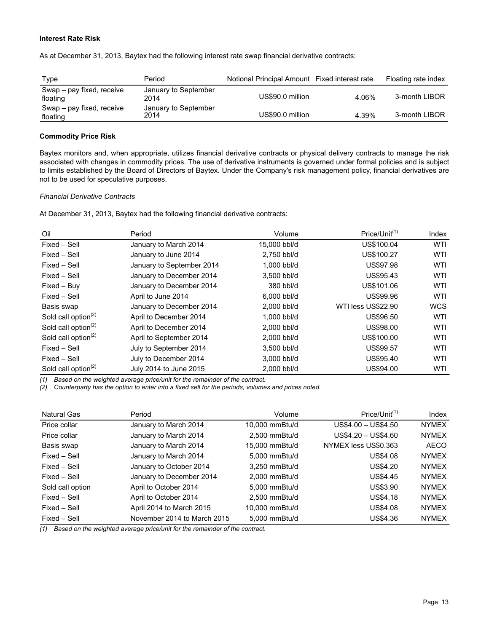### **Interest Rate Risk**

As at December 31, 2013, Baytex had the following interest rate swap financial derivative contracts:

| Type                                  | Period                       | Notional Principal Amount Fixed interest rate |       | Floating rate index |
|---------------------------------------|------------------------------|-----------------------------------------------|-------|---------------------|
| Swap - pay fixed, receive<br>floating | January to September<br>2014 | US\$90.0 million                              | 4.06% | 3-month LIBOR       |
| Swap – pay fixed, receive<br>floating | January to September<br>2014 | US\$90.0 million                              | 4.39% | 3-month LIBOR       |

# **Commodity Price Risk**

Baytex monitors and, when appropriate, utilizes financial derivative contracts or physical delivery contracts to manage the risk associated with changes in commodity prices. The use of derivative instruments is governed under formal policies and is subject to limits established by the Board of Directors of Baytex. Under the Company's risk management policy, financial derivatives are not to be used for speculative purposes.

#### *Financial Derivative Contracts*

At December 31, 2013, Baytex had the following financial derivative contracts:

| Oil                                          | Period                    | Volume       | $Price/Unit^{(1)}$ | Index      |
|----------------------------------------------|---------------------------|--------------|--------------------|------------|
| Fixed - Sell                                 | January to March 2014     | 15,000 bbl/d | US\$100.04         | <b>WTI</b> |
| Fixed - Sell                                 | January to June 2014      | 2,750 bbl/d  | US\$100.27         | WTI        |
| Fixed - Sell                                 | January to September 2014 | 1.000 bbl/d  | <b>US\$97.98</b>   | WTI        |
| Fixed - Sell                                 | January to December 2014  | 3,500 bbl/d  | US\$95.43          | WTI        |
| Fixed - Buy                                  | January to December 2014  | 380 bbl/d    | US\$101.06         | WTI        |
| Fixed - Sell                                 | April to June 2014        | 6.000 bbl/d  | US\$99.96          | <b>WTI</b> |
| Basis swap                                   | January to December 2014  | 2,000 bbl/d  | WTI less US\$22.90 | <b>WCS</b> |
| Sold call option <sup><math>(2)</math></sup> | April to December 2014    | 1.000 bbl/d  | <b>US\$96.50</b>   | <b>WTI</b> |
| Sold call option $(2)$                       | April to December 2014    | 2.000 bbl/d  | US\$98.00          | <b>WTI</b> |
| Sold call option $(2)$                       | April to September 2014   | 2.000 bbl/d  | US\$100.00         | <b>WTI</b> |
| Fixed - Sell                                 | July to September 2014    | 3,500 bbl/d  | <b>US\$99.57</b>   | WTI        |
| Fixed - Sell                                 | July to December 2014     | 3.000 bbl/d  | US\$95.40          | <b>WTI</b> |
| Sold call option $(2)$                       | July 2014 to June 2015    | 2,000 bbl/d  | US\$94.00          | WTI        |

*(1) Based on the weighted average price/unit for the remainder of the contract.*

*(2) Counterparty has the option to enter into a fixed sell for the periods, volumes and prices noted.*

| Natural Gas      | Period                      | Volume          | $Price/Unit^{(1)}$   | Index        |
|------------------|-----------------------------|-----------------|----------------------|--------------|
| Price collar     | January to March 2014       | 10.000 mmBtu/d  | US\$4.00 - US\$4.50  | <b>NYMEX</b> |
| Price collar     | January to March 2014       | 2,500 mmBtu/d   | $US$4.20 - US$4.60$  | <b>NYMEX</b> |
| Basis swap       | January to March 2014       | 15,000 mmBtu/d  | NYMEX less US\$0.363 | <b>AECO</b>  |
| Fixed - Sell     | January to March 2014       | 5.000 mmBtu/d   | <b>US\$4.08</b>      | <b>NYMEX</b> |
| Fixed – Sell     | January to October 2014     | 3.250 mmBtu/d   | US\$4.20             | <b>NYMEX</b> |
| Fixed – Sell     | January to December 2014    | $2.000$ mmBtu/d | US\$4.45             | <b>NYMEX</b> |
| Sold call option | April to October 2014       | 5.000 mmBtu/d   | US\$3.90             | <b>NYMEX</b> |
| Fixed - Sell     | April to October 2014       | $2,500$ mmBtu/d | US\$4.18             | <b>NYMEX</b> |
| Fixed – Sell     | April 2014 to March 2015    | 10.000 mmBtu/d  | US\$4.08             | <b>NYMEX</b> |
| Fixed – Sell     | November 2014 to March 2015 | 5,000 mmBtu/d   | US\$4.36             | <b>NYMEX</b> |

*(1) Based on the weighted average price/unit for the remainder of the contract.*